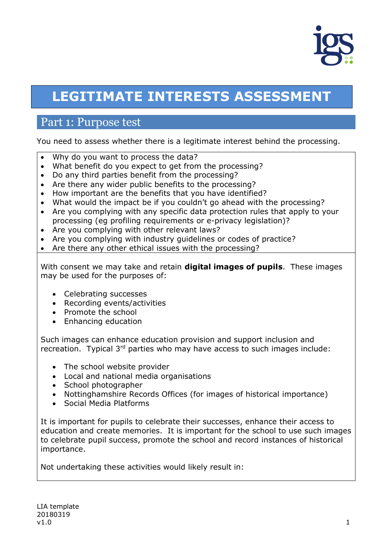

# **LEGITIMATE INTERESTS ASSESSMENT**

### Part 1: Purpose test

You need to assess whether there is a legitimate interest behind the processing.

- Why do you want to process the data?
- What benefit do you expect to get from the processing?
- Do any third parties benefit from the processing?
- Are there any wider public benefits to the processing?
- How important are the benefits that you have identified?
- What would the impact be if you couldn't go ahead with the processing?
- Are you complying with any specific data protection rules that apply to your processing (eg profiling requirements or e-privacy legislation)?
- Are you complying with other relevant laws?
- Are you complying with industry guidelines or codes of practice?
- Are there any other ethical issues with the processing?

With consent we may take and retain **digital images of pupils**. These images may be used for the purposes of:

- Celebrating successes
- Recording events/activities
- Promote the school
- Enhancing education

Such images can enhance education provision and support inclusion and recreation. Typical 3<sup>rd</sup> parties who may have access to such images include:

- The school website provider
- Local and national media organisations
- School photographer
- Nottinghamshire Records Offices (for images of historical importance)
- Social Media Platforms

It is important for pupils to celebrate their successes, enhance their access to education and create memories. It is important for the school to use such images to celebrate pupil success, promote the school and record instances of historical importance.

Not undertaking these activities would likely result in: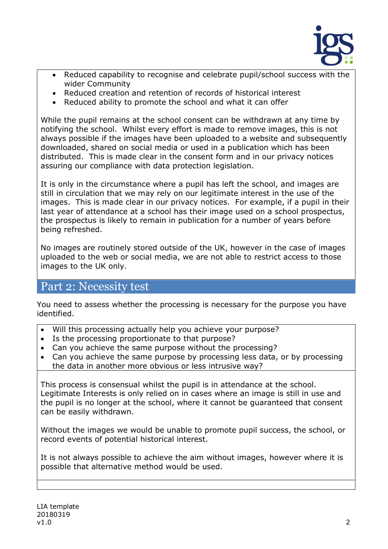

- Reduced capability to recognise and celebrate pupil/school success with the wider Community
- Reduced creation and retention of records of historical interest
- Reduced ability to promote the school and what it can offer

While the pupil remains at the school consent can be withdrawn at any time by notifying the school. Whilst every effort is made to remove images, this is not always possible if the images have been uploaded to a website and subsequently downloaded, shared on social media or used in a publication which has been distributed. This is made clear in the consent form and in our privacy notices assuring our compliance with data protection legislation.

It is only in the circumstance where a pupil has left the school, and images are still in circulation that we may rely on our legitimate interest in the use of the images. This is made clear in our privacy notices. For example, if a pupil in their last year of attendance at a school has their image used on a school prospectus, the prospectus is likely to remain in publication for a number of years before being refreshed.

No images are routinely stored outside of the UK, however in the case of images uploaded to the web or social media, we are not able to restrict access to those images to the UK only.

### Part 2: Necessity test

You need to assess whether the processing is necessary for the purpose you have identified.

- Will this processing actually help you achieve your purpose?
- Is the processing proportionate to that purpose?
- Can you achieve the same purpose without the processing?
- Can you achieve the same purpose by processing less data, or by processing the data in another more obvious or less intrusive way?

This process is consensual whilst the pupil is in attendance at the school. Legitimate Interests is only relied on in cases where an image is still in use and the pupil is no longer at the school, where it cannot be guaranteed that consent can be easily withdrawn.

Without the images we would be unable to promote pupil success, the school, or record events of potential historical interest.

It is not always possible to achieve the aim without images, however where it is possible that alternative method would be used.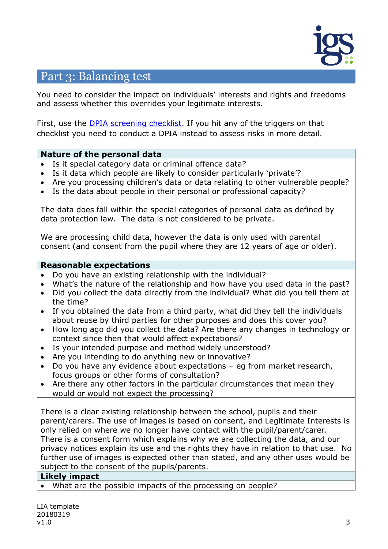

### Part 3: Balancing test

You need to consider the impact on individuals' interests and rights and freedoms and assess whether this overrides your legitimate interests.

First, use the **DPIA** screening checklist. If you hit any of the triggers on that checklist you need to conduct a DPIA instead to assess risks in more detail.

#### **Nature of the personal data**

- Is it special category data or criminal offence data?
- Is it data which people are likely to consider particularly 'private'?
- Are you processing children's data or data relating to other vulnerable people?
- Is the data about people in their personal or professional capacity?

The data does fall within the special categories of personal data as defined by data protection law. The data is not considered to be private.

We are processing child data, however the data is only used with parental consent (and consent from the pupil where they are 12 years of age or older).

#### **Reasonable expectations**

- Do you have an existing relationship with the individual?
- What's the nature of the relationship and how have you used data in the past?
- Did you collect the data directly from the individual? What did you tell them at the time?
- If you obtained the data from a third party, what did they tell the individuals about reuse by third parties for other purposes and does this cover you?
- How long ago did you collect the data? Are there any changes in technology or context since then that would affect expectations?
- Is your intended purpose and method widely understood?
- Are you intending to do anything new or innovative?
- Do you have any evidence about expectations eg from market research, focus groups or other forms of consultation?
- Are there any other factors in the particular circumstances that mean they would or would not expect the processing?

There is a clear existing relationship between the school, pupils and their parent/carers. The use of images is based on consent, and Legitimate Interests is only relied on where we no longer have contact with the pupil/parent/carer. There is a consent form which explains why we are collecting the data, and our privacy notices explain its use and the rights they have in relation to that use. No further use of images is expected other than stated, and any other uses would be subject to the consent of the pupils/parents.

#### **Likely impact**

What are the possible impacts of the processing on people?